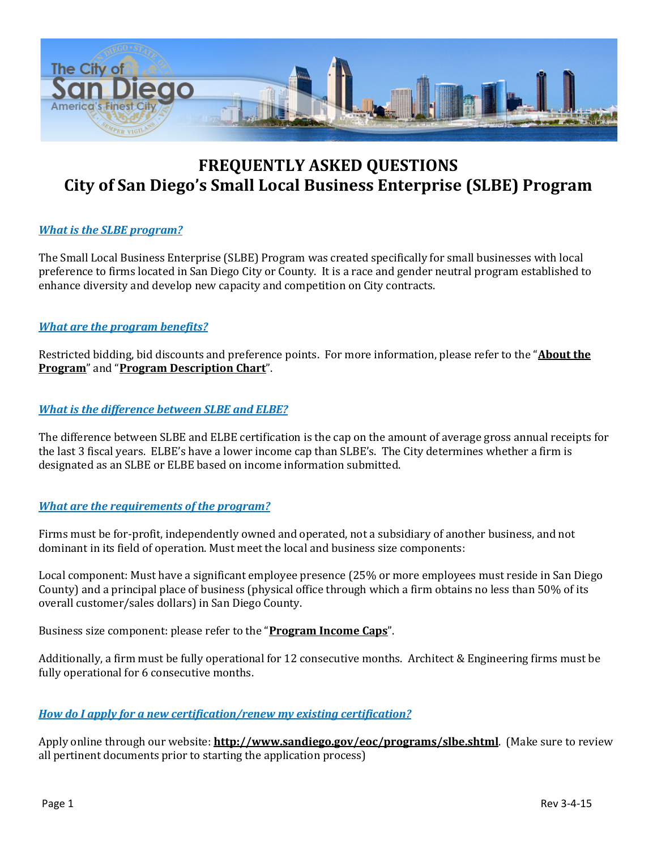

# **FREQUENTLY ASKED QUESTIONS City of San Diego's Small Local Business Enterprise (SLBE) Program**

# *What is the SLBE program?*

The Small Local Business Enterprise (SLBE) Program was created specifically for small businesses with local preference to firms located in San Diego City or County. It is a race and gender neutral program established to enhance diversity and develop new capacity and competition on City contracts.

# *What are the program benefits?*

Restricted bidding, bid discounts and preference points. For more information, please refer to the "**[About the](http://www.sandiego.gov/eoc/pdf/slbe.pdf)  [Program](http://www.sandiego.gov/eoc/pdf/slbe.pdf)**" and "**[Program Description Chart](http://www.sandiego.gov/eoc/pdf/elbe_slbe_chart.pdf)**".

## *What is the difference between SLBE and ELBE?*

The difference between SLBE and ELBE certification is the cap on the amount of average gross annual receipts for the last 3 fiscal years. ELBE's have a lower income cap than SLBE's. The City determines whether a firm is designated as an SLBE or ELBE based on income information submitted.

#### *What are the requirements of the program?*

Firms must be for-profit, independently owned and operated, not a subsidiary of another business, and not dominant in its field of operation. Must meet the local and business size components:

Local component: Must have a significant employee presence (25% or more employees must reside in San Diego County) and a principal place of business (physical office through which a firm obtains no less than 50% of its overall customer/sales dollars) in San Diego County.

Business size component: please refer to the "**[Program Income Caps](http://www.sandiego.gov/eoc/pdf/2015/incomecaps150129.pdf)**".

Additionally, a firm must be fully operational for 12 consecutive months. Architect & Engineering firms must be fully operational for 6 consecutive months.

#### *How do I apply for a new certification/renew my existing certification?*

Apply online through our website: **<http://www.sandiego.gov/eoc/programs/slbe.shtml>**. (Make sure to review all pertinent documents prior to starting the application process)